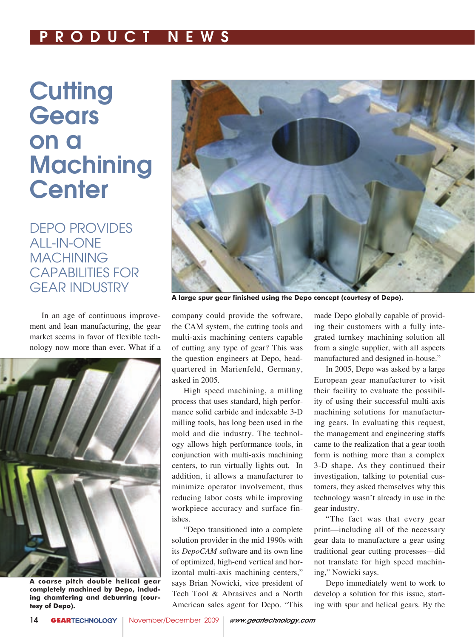# P R O D U C T N E W S

# **Cutting Gears** on a **Machining Center**

DEPO PROVIDES ALL-IN-ONE MACHINING CAPABILITIES FOR GEAR INDUSTRY

In an age of continuous improvement and lean manufacturing, the gear market seems in favor of flexible technology now more than ever. What if a



**A coarse pitch double helical gear completely machined by Depo, including chamfering and deburring (courtesy of Depo).**



**A large spur gear finished using the Depo concept (courtesy of Depo).**

company could provide the software, the CAM system, the cutting tools and multi-axis machining centers capable of cutting any type of gear? This was the question engineers at Depo, headquartered in Marienfeld, Germany, asked in 2005.

High speed machining, a milling process that uses standard, high performance solid carbide and indexable 3-D milling tools, has long been used in the mold and die industry. The technology allows high performance tools, in conjunction with multi-axis machining centers, to run virtually lights out. In addition, it allows a manufacturer to minimize operator involvement, thus reducing labor costs while improving workpiece accuracy and surface finishes.

"Depo transitioned into a complete solution provider in the mid 1990s with its *DepoCAM* software and its own line of optimized, high-end vertical and horizontal multi-axis machining centers," says Brian Nowicki, vice president of Tech Tool & Abrasives and a North American sales agent for Depo. "This made Depo globally capable of providing their customers with a fully integrated turnkey machining solution all from a single supplier, with all aspects manufactured and designed in-house."

In 2005, Depo was asked by a large European gear manufacturer to visit their facility to evaluate the possibility of using their successful multi-axis machining solutions for manufacturing gears. In evaluating this request, the management and engineering staffs came to the realization that a gear tooth form is nothing more than a complex 3-D shape. As they continued their investigation, talking to potential customers, they asked themselves why this technology wasn't already in use in the gear industry.

"The fact was that every gear print—including all of the necessary gear data to manufacture a gear using traditional gear cutting processes—did not translate for high speed machining," Nowicki says.

Depo immediately went to work to develop a solution for this issue, starting with spur and helical gears. By the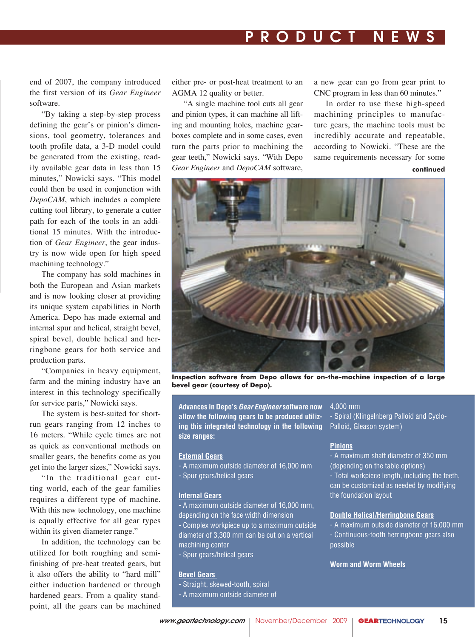# P R O D U C T N E W S

end of 2007, the company introduced the first version of its *Gear Engineer* software.

"By taking a step-by-step process defining the gear's or pinion's dimensions, tool geometry, tolerances and tooth profile data, a 3-D model could be generated from the existing, readily available gear data in less than 15 minutes," Nowicki says. "This model could then be used in conjunction with *DepoCAM*, which includes a complete cutting tool library, to generate a cutter path for each of the tools in an additional 15 minutes. With the introduction of *Gear Engineer*, the gear industry is now wide open for high speed machining technology."

The company has sold machines in both the European and Asian markets and is now looking closer at providing its unique system capabilities in North America. Depo has made external and internal spur and helical, straight bevel, spiral bevel, double helical and herringbone gears for both service and production parts.

"Companies in heavy equipment, farm and the mining industry have an interest in this technology specifically for service parts," Nowicki says.

The system is best-suited for shortrun gears ranging from 12 inches to 16 meters. "While cycle times are not as quick as conventional methods on smaller gears, the benefits come as you get into the larger sizes," Nowicki says.

"In the traditional gear cutting world, each of the gear families requires a different type of machine. With this new technology, one machine is equally effective for all gear types within its given diameter range."

In addition, the technology can be utilized for both roughing and semifinishing of pre-heat treated gears, but it also offers the ability to "hard mill" either induction hardened or through hardened gears. From a quality standpoint, all the gears can be machined either pre- or post-heat treatment to an AGMA 12 quality or better.

"A single machine tool cuts all gear and pinion types, it can machine all lifting and mounting holes, machine gearboxes complete and in some cases, even turn the parts prior to machining the gear teeth," Nowicki says. "With Depo Gear Engineer and DepoCAM software,

a new gear can go from gear print to CNC program in less than 60 minutes."

**continued** In order to use these high-speed machining principles to manufacture gears, the machine tools must be incredibly accurate and repeatable, according to Nowicki. "These are the same requirements necessary for some



**Inspection software from Depo allows for on-the-machine inspection of a large bevel gear (courtesy of Depo).**

**Advances in Depo's Gear Engineer software now allow the following gears to be produced utilizing this integrated technology in the following size ranges:**

### **External Gears**

- A maximum outside diameter of 16,000 mm - Spur gears/helical gears

#### **Internal Gears**

- A maximum outside diameter of 16,000 mm, depending on the face width dimension

- Complex workpiece up to a maximum outside diameter of 3,300 mm can be cut on a vertical machining center

- Spur gears/helical gears

#### **Bevel Gears**

- Straight, skewed-tooth, spiral
- A maximum outside diameter of

## 4,000 mm

- Spiral (Klingelnberg Palloid and Cyclo-Palloid, Gleason system)

## **Pinions**

- A maximum shaft diameter of 350 mm (depending on the table options) - Total workpiece length, including the teeth, can be customized as needed by modifying the foundation layout

#### **Double Helical/Herringbone Gears**

- A maximum outside diameter of 16,000 mm - Continuous-tooth herringbone gears also possible

## **Worm and Worm Wheels**